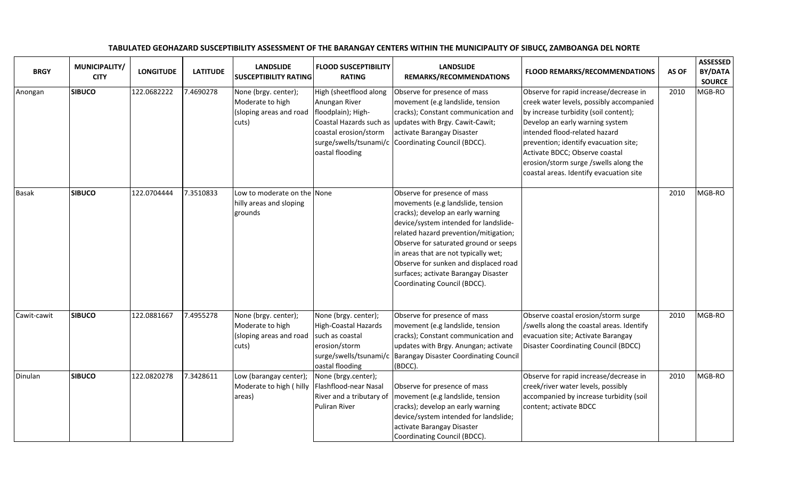| <b>BRGY</b>  | MUNICIPALITY/<br><b>CITY</b> | <b>LONGITUDE</b> | <b>LATITUDE</b> | <b>LANDSLIDE</b><br><b>SUSCEPTIBILITY RATING</b>                             | <b>FLOOD SUSCEPTIBILITY</b><br><b>RATING</b>                                                                                         | <b>LANDSLIDE</b><br>REMARKS/RECOMMENDATIONS                                                                                                                                                                                                                                                                                                                                                | <b>FLOOD REMARKS/RECOMMENDATIONS</b>                                                                                                                                                                                                                                                                                                                           | AS OF | <b>ASSESSED</b><br>BY/DATA<br><b>SOURCE</b> |
|--------------|------------------------------|------------------|-----------------|------------------------------------------------------------------------------|--------------------------------------------------------------------------------------------------------------------------------------|--------------------------------------------------------------------------------------------------------------------------------------------------------------------------------------------------------------------------------------------------------------------------------------------------------------------------------------------------------------------------------------------|----------------------------------------------------------------------------------------------------------------------------------------------------------------------------------------------------------------------------------------------------------------------------------------------------------------------------------------------------------------|-------|---------------------------------------------|
| Anongan      | <b>SIBUCO</b>                | 122.0682222      | 7.4690278       | None (brgy. center);<br>Moderate to high<br>(sloping areas and road<br>cuts) | High (sheetflood along<br>Anungan River<br>floodplain); High-<br>coastal erosion/storm<br>oastal flooding                            | Observe for presence of mass<br>movement (e.g landslide, tension<br>cracks); Constant communication and<br>Coastal Hazards such as updates with Brgy. Cawit-Cawit;<br>activate Barangay Disaster<br>surge/swells/tsunami/c Coordinating Council (BDCC).                                                                                                                                    | Observe for rapid increase/decrease in<br>creek water levels, possibly accompanied<br>by increase turbidity (soil content);<br>Develop an early warning system<br>intended flood-related hazard<br>prevention; identify evacuation site;<br>Activate BDCC; Observe coastal<br>erosion/storm surge /swells along the<br>coastal areas. Identify evacuation site | 2010  | MGB-RO                                      |
| <b>Basak</b> | <b>SIBUCO</b>                | 122.0704444      | 7.3510833       | Low to moderate on the None<br>hilly areas and sloping<br>grounds            |                                                                                                                                      | Observe for presence of mass<br>movements (e.g landslide, tension<br>cracks); develop an early warning<br>device/system intended for landslide-<br>related hazard prevention/mitigation;<br>Observe for saturated ground or seeps<br>in areas that are not typically wet;<br>Observe for sunken and displaced road<br>surfaces; activate Barangay Disaster<br>Coordinating Council (BDCC). |                                                                                                                                                                                                                                                                                                                                                                | 2010  | MGB-RO                                      |
| Cawit-cawit  | <b>SIBUCO</b>                | 122.0881667      | 7.4955278       | None (brgy. center);<br>Moderate to high<br>(sloping areas and road<br>cuts) | None (brgy. center);<br><b>High-Coastal Hazards</b><br>such as coastal<br>erosion/storm<br>surge/swells/tsunami/c<br>oastal flooding | Observe for presence of mass<br>movement (e.g landslide, tension<br>cracks); Constant communication and<br>updates with Brgy. Anungan; activate<br><b>Barangay Disaster Coordinating Council</b><br>(BDCC).                                                                                                                                                                                | Observe coastal erosion/storm surge<br>/swells along the coastal areas. Identify<br>evacuation site; Activate Barangay<br><b>Disaster Coordinating Council (BDCC)</b>                                                                                                                                                                                          | 2010  | MGB-RO                                      |
| Dinulan      | <b>SIBUCO</b>                | 122.0820278      | 7.3428611       | Low (barangay center);<br>Moderate to high (hilly<br>areas)                  | None (brgy.center);<br>Flashflood-near Nasal<br>River and a tributary of<br>Puliran River                                            | Observe for presence of mass<br>movement (e.g landslide, tension<br>cracks); develop an early warning<br>device/system intended for landslide;<br>activate Barangay Disaster<br>Coordinating Council (BDCC).                                                                                                                                                                               | Observe for rapid increase/decrease in<br>creek/river water levels, possibly<br>accompanied by increase turbidity (soil<br>content; activate BDCC                                                                                                                                                                                                              | 2010  | MGB-RO                                      |

## TABULATED GEOHAZARD SUSCEPTIBILITY ASSESSMENT OF THE BARANGAY CENTERS WITHIN THE MUNICIPALITY OF SIBUC(, ZAMBOANGA DEL NORTE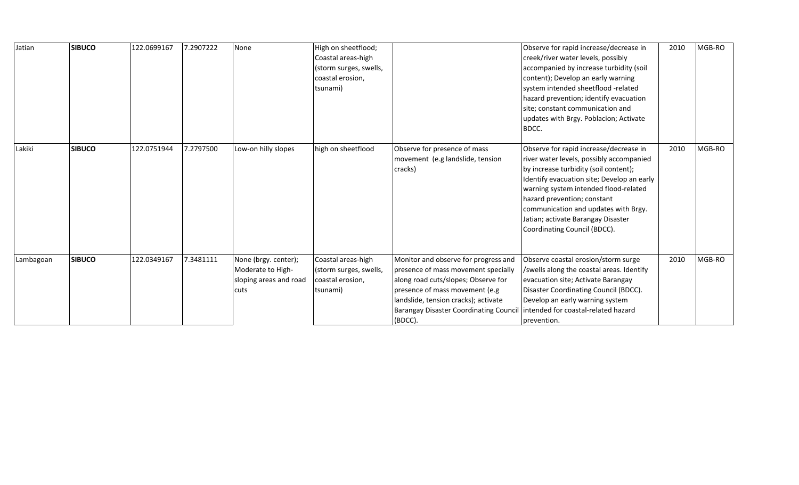| Jatian    | <b>SIBUCO</b> | 122.0699167 | 7.2907222 | None                                                                        | High on sheetflood;<br>Coastal areas-high<br>(storm surges, swells,<br>coastal erosion,<br>tsunami) |                                                                                                                                                                                                                                                          | Observe for rapid increase/decrease in<br>creek/river water levels, possibly<br>accompanied by increase turbidity (soil<br>content); Develop an early warning<br>system intended sheetflood -related<br>hazard prevention; identify evacuation<br>site; constant communication and<br>updates with Brgy. Poblacion; Activate<br>BDCC.                           | 2010 | MGB-RO |
|-----------|---------------|-------------|-----------|-----------------------------------------------------------------------------|-----------------------------------------------------------------------------------------------------|----------------------------------------------------------------------------------------------------------------------------------------------------------------------------------------------------------------------------------------------------------|-----------------------------------------------------------------------------------------------------------------------------------------------------------------------------------------------------------------------------------------------------------------------------------------------------------------------------------------------------------------|------|--------|
| Lakiki    | <b>SIBUCO</b> | 122.0751944 | 7.2797500 | Low-on hilly slopes                                                         | high on sheetflood                                                                                  | Observe for presence of mass<br>movement (e.g landslide, tension<br>cracks)                                                                                                                                                                              | Observe for rapid increase/decrease in<br>river water levels, possibly accompanied<br>by increase turbidity (soil content);<br>Identify evacuation site; Develop an early<br>warning system intended flood-related<br>hazard prevention; constant<br>communication and updates with Brgy.<br>Jatian; activate Barangay Disaster<br>Coordinating Council (BDCC). | 2010 | MGB-RO |
| Lambagoan | <b>SIBUCO</b> | 122.0349167 | 7.3481111 | None (brgy. center);<br>Moderate to High-<br>sloping areas and road<br>cuts | Coastal areas-high<br>(storm surges, swells,<br>coastal erosion,<br>tsunami)                        | Monitor and observe for progress and<br>presence of mass movement specially<br>along road cuts/slopes; Observe for<br>presence of mass movement (e.g<br>landslide, tension cracks); activate<br><b>Barangay Disaster Coordinating Council</b><br>(BDCC). | Observe coastal erosion/storm surge<br>/swells along the coastal areas. Identify<br>evacuation site; Activate Barangay<br>Disaster Coordinating Council (BDCC).<br>Develop an early warning system<br>lintended for coastal-related hazard<br>prevention.                                                                                                       | 2010 | MGB-RO |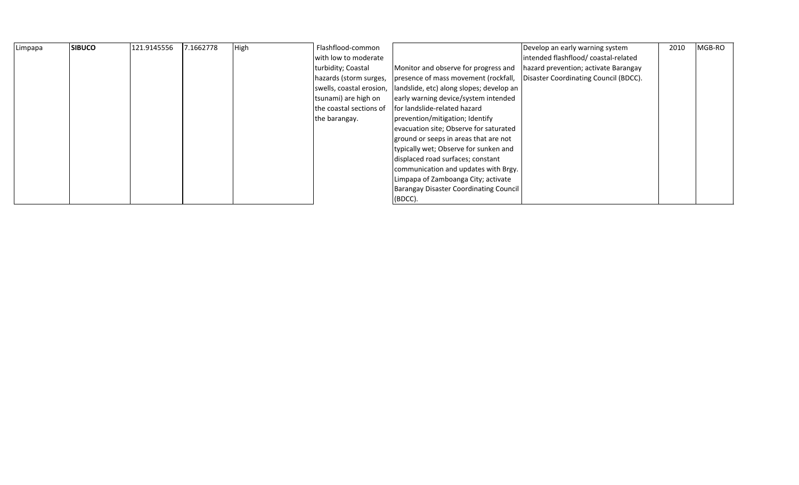| Limpapa | <b>SIBUCO</b> | 121.9145556 | 7.1662778 | High | Flashflood-common        |                                               | Develop an early warning system       | 2010 | MGB-RO |
|---------|---------------|-------------|-----------|------|--------------------------|-----------------------------------------------|---------------------------------------|------|--------|
|         |               |             |           |      | with low to moderate     |                                               | intended flashflood/coastal-related   |      |        |
|         |               |             |           |      | turbidity; Coastal       | Monitor and observe for progress and          | hazard prevention; activate Barangay  |      |        |
|         |               |             |           |      | hazards (storm surges,   | presence of mass movement (rockfall,          | Disaster Coordinating Council (BDCC). |      |        |
|         |               |             |           |      | swells, coastal erosion, | landslide, etc) along slopes; develop an      |                                       |      |        |
|         |               |             |           |      | tsunami) are high on     | early warning device/system intended          |                                       |      |        |
|         |               |             |           |      | the coastal sections of  | Ifor landslide-related hazard                 |                                       |      |        |
|         |               |             |           |      | the barangay.            | prevention/mitigation; Identify               |                                       |      |        |
|         |               |             |           |      |                          | evacuation site; Observe for saturated        |                                       |      |        |
|         |               |             |           |      |                          | ground or seeps in areas that are not         |                                       |      |        |
|         |               |             |           |      |                          | typically wet; Observe for sunken and         |                                       |      |        |
|         |               |             |           |      |                          | displaced road surfaces; constant             |                                       |      |        |
|         |               |             |           |      |                          | communication and updates with Brgy.          |                                       |      |        |
|         |               |             |           |      |                          | Limpapa of Zamboanga City; activate           |                                       |      |        |
|         |               |             |           |      |                          | <b>Barangay Disaster Coordinating Council</b> |                                       |      |        |
|         |               |             |           |      |                          | (BDCC).                                       |                                       |      |        |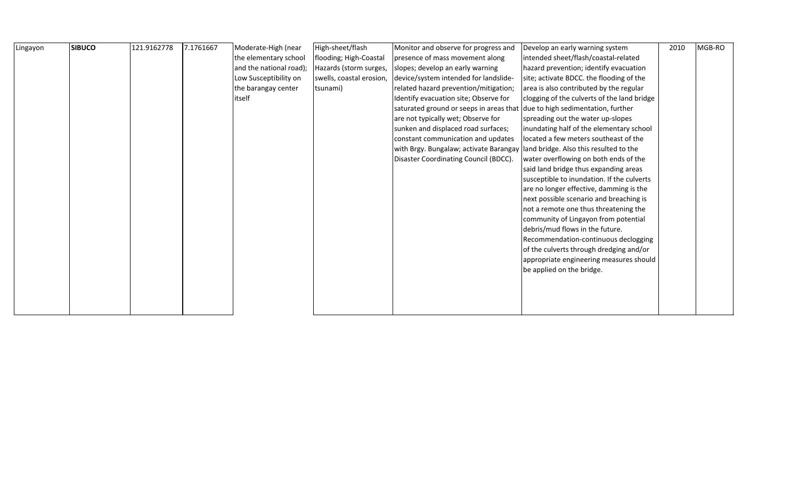| Lingayon | <b>SIBUCO</b> | 121.9162778 | 7.1761667 | Moderate-High (near     | High-sheet/flash         | Monitor and observe for progress and                                       | Develop an early warning system             | 2010 | MGB-RO |
|----------|---------------|-------------|-----------|-------------------------|--------------------------|----------------------------------------------------------------------------|---------------------------------------------|------|--------|
|          |               |             |           | the elementary school   | flooding; High-Coastal   | presence of mass movement along                                            | intended sheet/flash/coastal-related        |      |        |
|          |               |             |           | and the national road); | Hazards (storm surges,   | slopes; develop an early warning                                           | hazard prevention; identify evacuation      |      |        |
|          |               |             |           | Low Susceptibility on   | swells, coastal erosion, | device/system intended for landslide-                                      | site; activate BDCC. the flooding of the    |      |        |
|          |               |             |           | the barangay center     | tsunami)                 | related hazard prevention/mitigation;                                      | area is also contributed by the regular     |      |        |
|          |               |             |           | itself                  |                          | Identify evacuation site; Observe for                                      | clogging of the culverts of the land bridge |      |        |
|          |               |             |           |                         |                          | saturated ground or seeps in areas that due to high sedimentation, further |                                             |      |        |
|          |               |             |           |                         |                          | are not typically wet; Observe for                                         | spreading out the water up-slopes           |      |        |
|          |               |             |           |                         |                          | sunken and displaced road surfaces;                                        | inundating half of the elementary school    |      |        |
|          |               |             |           |                         |                          | constant communication and updates                                         | located a few meters southeast of the       |      |        |
|          |               |             |           |                         |                          | with Brgy. Bungalaw; activate Barangay                                     | land bridge. Also this resulted to the      |      |        |
|          |               |             |           |                         |                          | Disaster Coordinating Council (BDCC).                                      | water overflowing on both ends of the       |      |        |
|          |               |             |           |                         |                          |                                                                            | said land bridge thus expanding areas       |      |        |
|          |               |             |           |                         |                          |                                                                            | susceptible to inundation. If the culverts  |      |        |
|          |               |             |           |                         |                          |                                                                            | are no longer effective, damming is the     |      |        |
|          |               |             |           |                         |                          |                                                                            | next possible scenario and breaching is     |      |        |
|          |               |             |           |                         |                          |                                                                            | not a remote one thus threatening the       |      |        |
|          |               |             |           |                         |                          |                                                                            | community of Lingayon from potential        |      |        |
|          |               |             |           |                         |                          |                                                                            | debris/mud flows in the future.             |      |        |
|          |               |             |           |                         |                          |                                                                            | Recommendation-continuous declogging        |      |        |
|          |               |             |           |                         |                          |                                                                            | of the culverts through dredging and/or     |      |        |
|          |               |             |           |                         |                          |                                                                            | appropriate engineering measures should     |      |        |
|          |               |             |           |                         |                          |                                                                            | be applied on the bridge.                   |      |        |
|          |               |             |           |                         |                          |                                                                            |                                             |      |        |
|          |               |             |           |                         |                          |                                                                            |                                             |      |        |
|          |               |             |           |                         |                          |                                                                            |                                             |      |        |
|          |               |             |           |                         |                          |                                                                            |                                             |      |        |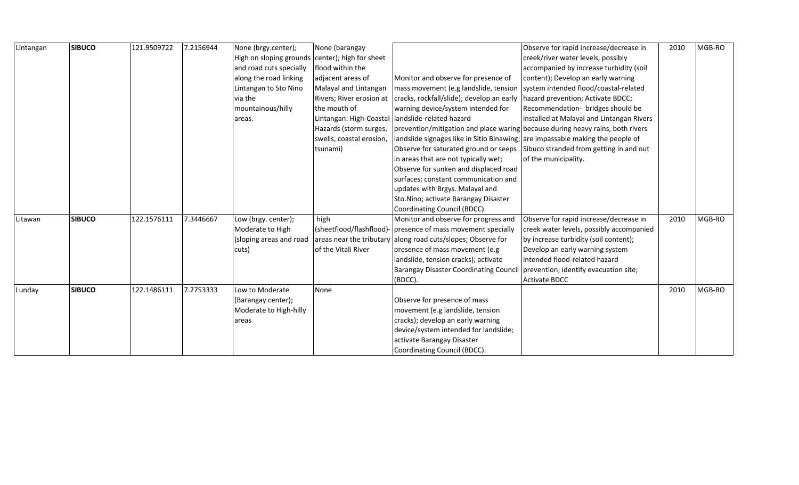| Lintangan | <b>SIBUCO</b> | 121.9509722 | 7.2156944 | None (brgy.center);                             | None (barangay           |                                                                                                        | Observe for rapid increase/decrease in                                        | 2010 | MGB-RO |
|-----------|---------------|-------------|-----------|-------------------------------------------------|--------------------------|--------------------------------------------------------------------------------------------------------|-------------------------------------------------------------------------------|------|--------|
|           |               |             |           | High on sloping grounds center); high for sheet |                          |                                                                                                        | creek/river water levels, possibly                                            |      |        |
|           |               |             |           | and road cuts specially                         | flood within the         |                                                                                                        | accompanied by increase turbidity (soil                                       |      |        |
|           |               |             |           | along the road linking                          | adjacent areas of        | Monitor and observe for presence of                                                                    | content); Develop an early warning                                            |      |        |
|           |               |             |           | Lintangan to Sto Nino                           | Malayal and Lintangan    | mass movement (e.g landslide, tension system intended flood/coastal-related                            |                                                                               |      |        |
|           |               |             |           | via the                                         |                          | Rivers; River erosion at   cracks, rockfall/slide); develop an early                                   | hazard prevention; Activate BDCC;                                             |      |        |
|           |               |             |           | mountainous/hilly                               | the mouth of             | warning device/system intended for                                                                     | Recommendation- bridges should be                                             |      |        |
|           |               |             |           | areas.                                          |                          | Lintangan: High-Coastal   landslide-related hazard                                                     | installed at Malayal and Lintangan Rivers                                     |      |        |
|           |               |             |           |                                                 |                          | Hazards (storm surges,  prevention/mitigation and place waring because during heavy rains, both rivers |                                                                               |      |        |
|           |               |             |           |                                                 | swells, coastal erosion, | landslide signages like in Sitio Binawing; are impassable making the people of                         |                                                                               |      |        |
|           |               |             |           |                                                 | tsunami)                 |                                                                                                        | Observe for saturated ground or seeps Sibuco stranded from getting in and out |      |        |
|           |               |             |           |                                                 |                          | in areas that are not typically wet;                                                                   | of the municipality.                                                          |      |        |
|           |               |             |           |                                                 |                          | Observe for sunken and displaced road                                                                  |                                                                               |      |        |
|           |               |             |           |                                                 |                          | surfaces; constant communication and                                                                   |                                                                               |      |        |
|           |               |             |           |                                                 |                          | updates with Brgys. Malayal and                                                                        |                                                                               |      |        |
|           |               |             |           |                                                 |                          | Sto.Nino; activate Barangay Disaster                                                                   |                                                                               |      |        |
|           |               |             |           |                                                 |                          | Coordinating Council (BDCC).                                                                           |                                                                               |      |        |
| Litawan   | <b>SIBUCO</b> | 122.1576111 | 7.3446667 | Low (brgy. center);                             | high                     | Monitor and observe for progress and                                                                   | Observe for rapid increase/decrease in                                        | 2010 | MGB-RO |
|           |               |             |           | Moderate to High                                |                          | (sheetflood/flashflood)- presence of mass movement specially                                           | creek water levels, possibly accompanied                                      |      |        |
|           |               |             |           | (sloping areas and road                         |                          | areas near the tributary along road cuts/slopes; Observe for                                           | by increase turbidity (soil content);                                         |      |        |
|           |               |             |           | cuts)                                           | of the Vitali River      | presence of mass movement (e.g                                                                         | Develop an early warning system                                               |      |        |
|           |               |             |           |                                                 |                          | landslide, tension cracks); activate                                                                   | intended flood-related hazard                                                 |      |        |
|           |               |             |           |                                                 |                          | <b>Barangay Disaster Coordinating Council</b>                                                          | prevention; identify evacuation site;                                         |      |        |
|           |               |             |           |                                                 |                          | (BDCC).                                                                                                | <b>Activate BDCC</b>                                                          |      |        |
| Lunday    | <b>SIBUCO</b> | 122.1486111 | 7.2753333 | Low to Moderate                                 | None                     |                                                                                                        |                                                                               | 2010 | MGB-RO |
|           |               |             |           | (Barangay center);                              |                          | Observe for presence of mass                                                                           |                                                                               |      |        |
|           |               |             |           | Moderate to High-hilly                          |                          | movement (e.g landslide, tension                                                                       |                                                                               |      |        |
|           |               |             |           | areas                                           |                          | cracks); develop an early warning                                                                      |                                                                               |      |        |
|           |               |             |           |                                                 |                          | device/system intended for landslide;                                                                  |                                                                               |      |        |
|           |               |             |           |                                                 |                          | activate Barangay Disaster                                                                             |                                                                               |      |        |
|           |               |             |           |                                                 |                          | Coordinating Council (BDCC).                                                                           |                                                                               |      |        |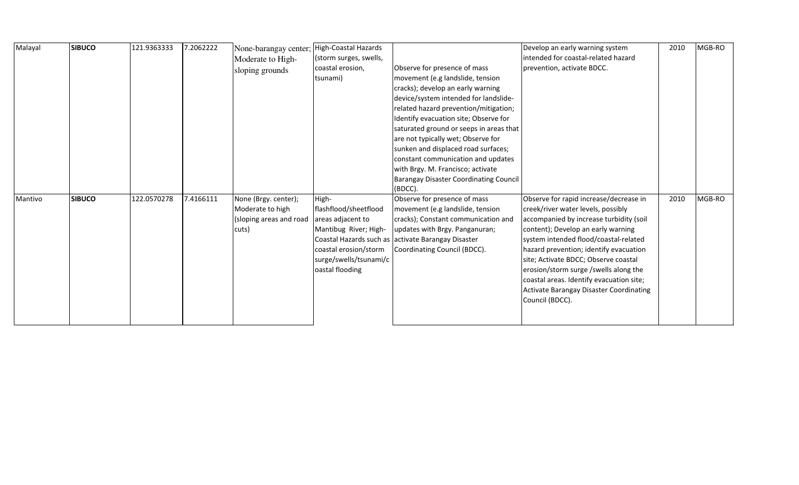| Malayal | <b>SIBUCO</b> | 121.9363333 | 7.2062222 | None-barangay center; High-Coastal Hazards<br>Moderate to High-<br>sloping grounds | (storm surges, swells,<br>coastal erosion,<br>tsunami)                                                                                             | Observe for presence of mass<br>movement (e.g landslide, tension<br>cracks); develop an early warning<br>device/system intended for landslide-<br>related hazard prevention/mitigation;<br>Identify evacuation site; Observe for<br>saturated ground or seeps in areas that<br>are not typically wet; Observe for<br>sunken and displaced road surfaces;<br>constant communication and updates<br>with Brgy. M. Francisco; activate<br><b>Barangay Disaster Coordinating Council</b><br>(BDCC). | Develop an early warning system<br>intended for coastal-related hazard<br>prevention, activate BDCC.                                                                                                                                                                                                                                                                                                                                               | 2010 | MGB-RO |
|---------|---------------|-------------|-----------|------------------------------------------------------------------------------------|----------------------------------------------------------------------------------------------------------------------------------------------------|-------------------------------------------------------------------------------------------------------------------------------------------------------------------------------------------------------------------------------------------------------------------------------------------------------------------------------------------------------------------------------------------------------------------------------------------------------------------------------------------------|----------------------------------------------------------------------------------------------------------------------------------------------------------------------------------------------------------------------------------------------------------------------------------------------------------------------------------------------------------------------------------------------------------------------------------------------------|------|--------|
| Mantivo | <b>SIBUCO</b> | 122.0570278 | 7.4166111 | None (Brgy. center);<br>Moderate to high<br>(sloping areas and road<br>cuts)       | High-<br>flashflood/sheetflood<br>areas adjacent to<br>Mantibug River; High-<br>coastal erosion/storm<br>surge/swells/tsunami/c<br>oastal flooding | Observe for presence of mass<br>movement (e.g landslide, tension<br>cracks); Constant communication and<br>updates with Brgy. Panganuran;<br>Coastal Hazards such as activate Barangay Disaster<br>Coordinating Council (BDCC).                                                                                                                                                                                                                                                                 | Observe for rapid increase/decrease in<br>creek/river water levels, possibly<br>accompanied by increase turbidity (soil<br>content); Develop an early warning<br>system intended flood/coastal-related<br>hazard prevention; identify evacuation<br>site; Activate BDCC; Observe coastal<br>erosion/storm surge /swells along the<br>coastal areas. Identify evacuation site;<br><b>Activate Barangay Disaster Coordinating</b><br>Council (BDCC). | 2010 | MGB-RO |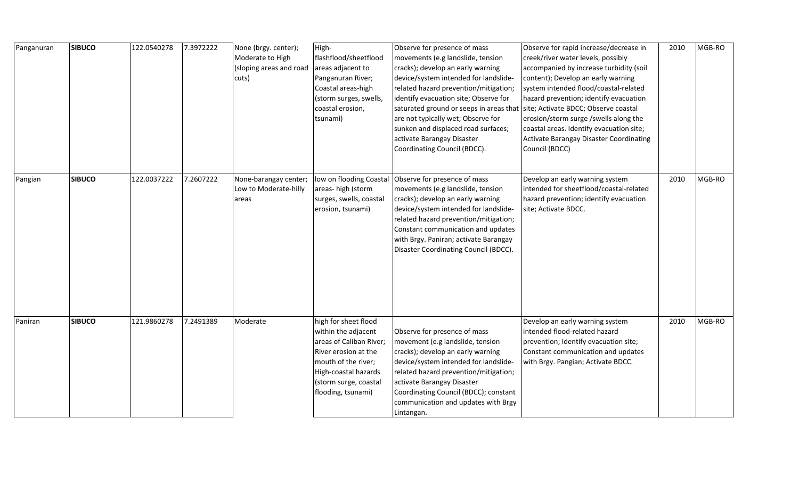| Panganuran | <b>SIBUCO</b> | 122.0540278 | 7.3972222 | None (brgy. center);<br>Moderate to High<br>(sloping areas and road<br>cuts) | High-<br>flashflood/sheetflood<br>areas adjacent to<br>Panganuran River;<br>Coastal areas-high<br>(storm surges, swells,<br>coastal erosion,<br>tsunami)                                     | Observe for presence of mass<br>movements (e.g landslide, tension<br>cracks); develop an early warning<br>device/system intended for landslide-<br>related hazard prevention/mitigation;<br>identify evacuation site; Observe for<br>saturated ground or seeps in areas that<br>are not typically wet; Observe for<br>sunken and displaced road surfaces;<br>activate Barangay Disaster<br>Coordinating Council (BDCC). | Observe for rapid increase/decrease in<br>creek/river water levels, possibly<br>accompanied by increase turbidity (soil<br>content); Develop an early warning<br>system intended flood/coastal-related<br>hazard prevention; identify evacuation<br>site; Activate BDCC; Observe coastal<br>erosion/storm surge /swells along the<br>coastal areas. Identify evacuation site;<br>Activate Barangay Disaster Coordinating<br>Council (BDCC) | 2010 | MGB-RO |
|------------|---------------|-------------|-----------|------------------------------------------------------------------------------|----------------------------------------------------------------------------------------------------------------------------------------------------------------------------------------------|-------------------------------------------------------------------------------------------------------------------------------------------------------------------------------------------------------------------------------------------------------------------------------------------------------------------------------------------------------------------------------------------------------------------------|--------------------------------------------------------------------------------------------------------------------------------------------------------------------------------------------------------------------------------------------------------------------------------------------------------------------------------------------------------------------------------------------------------------------------------------------|------|--------|
| Pangian    | <b>SIBUCO</b> | 122.0037222 | 7.2607222 | None-barangay center;<br>Low to Moderate-hilly<br>areas                      | low on flooding Coastal<br>areas-high (storm<br>surges, swells, coastal<br>erosion, tsunami)                                                                                                 | Observe for presence of mass<br>movements (e.g landslide, tension<br>cracks); develop an early warning<br>device/system intended for landslide-<br>related hazard prevention/mitigation;<br>Constant communication and updates<br>with Brgy. Paniran; activate Barangay<br>Disaster Coordinating Council (BDCC).                                                                                                        | Develop an early warning system<br>intended for sheetflood/coastal-related<br>hazard prevention; identify evacuation<br>site; Activate BDCC.                                                                                                                                                                                                                                                                                               | 2010 | MGB-RO |
| Paniran    | <b>SIBUCO</b> | 121.9860278 | 7.2491389 | Moderate                                                                     | high for sheet flood<br>within the adjacent<br>areas of Caliban River;<br>River erosion at the<br>mouth of the river;<br>High-coastal hazards<br>(storm surge, coastal<br>flooding, tsunami) | Observe for presence of mass<br>movement (e.g landslide, tension<br>cracks); develop an early warning<br>device/system intended for landslide-<br>related hazard prevention/mitigation;<br>activate Barangay Disaster<br>Coordinating Council (BDCC); constant<br>communication and updates with Brgy<br>Lintangan.                                                                                                     | Develop an early warning system<br>intended flood-related hazard<br>prevention; Identify evacuation site;<br>Constant communication and updates<br>with Brgy. Pangian; Activate BDCC.                                                                                                                                                                                                                                                      | 2010 | MGB-RO |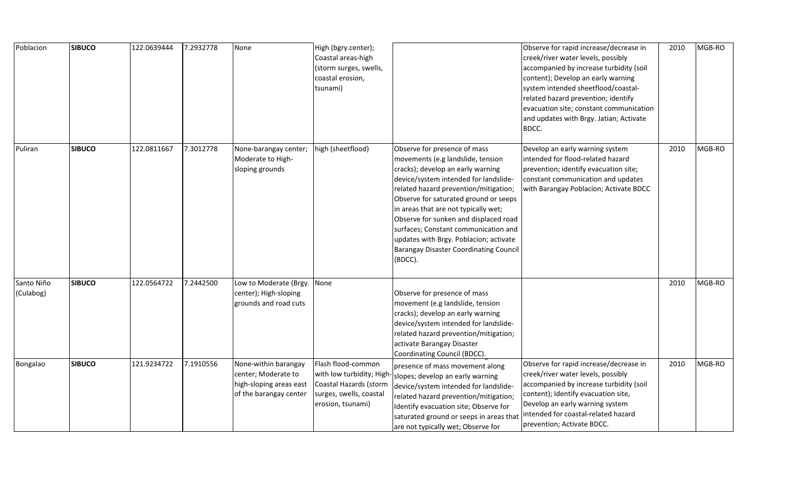| Poblacion               | <b>SIBUCO</b> | 122.0639444 | 7.2932778 | None                                                                                             | High (bgry.center);<br>Coastal areas-high<br>(storm surges, swells,<br>coastal erosion,<br>tsunami)                      |                                                                                                                                                                                                                                                                                                                                                                                                                                                                  | Observe for rapid increase/decrease in<br>creek/river water levels, possibly<br>accompanied by increase turbidity (soil<br>content); Develop an early warning<br>system intended sheetflood/coastal-<br>related hazard prevention; identify<br>evacuation site; constant communication<br>and updates with Brgy. Jatian; Activate<br>BDCC. | 2010 | MGB-RO |
|-------------------------|---------------|-------------|-----------|--------------------------------------------------------------------------------------------------|--------------------------------------------------------------------------------------------------------------------------|------------------------------------------------------------------------------------------------------------------------------------------------------------------------------------------------------------------------------------------------------------------------------------------------------------------------------------------------------------------------------------------------------------------------------------------------------------------|--------------------------------------------------------------------------------------------------------------------------------------------------------------------------------------------------------------------------------------------------------------------------------------------------------------------------------------------|------|--------|
| Puliran                 | <b>SIBUCO</b> | 122.0811667 | 7.3012778 | None-barangay center;<br>Moderate to High-<br>sloping grounds                                    | high (sheetflood)                                                                                                        | Observe for presence of mass<br>movements (e.g landslide, tension<br>cracks); develop an early warning<br>device/system intended for landslide-<br>related hazard prevention/mitigation;<br>Observe for saturated ground or seeps<br>in areas that are not typically wet;<br>Observe for sunken and displaced road<br>surfaces; Constant communication and<br>updates with Brgy. Poblacion; activate<br><b>Barangay Disaster Coordinating Council</b><br>(BDCC). | Develop an early warning system<br>intended for flood-related hazard<br>prevention; identify evacuation site;<br>constant communication and updates<br>with Barangay Poblacion; Activate BDCC                                                                                                                                              | 2010 | MGB-RO |
| Santo Niño<br>(Culabog) | <b>SIBUCO</b> | 122.0564722 | 7.2442500 | Low to Moderate (Brgy.<br>center); High-sloping<br>grounds and road cuts                         | None                                                                                                                     | Observe for presence of mass<br>movement (e.g landslide, tension<br>cracks); develop an early warning<br>device/system intended for landslide-<br>related hazard prevention/mitigation;<br>activate Barangay Disaster<br>Coordinating Council (BDCC).                                                                                                                                                                                                            |                                                                                                                                                                                                                                                                                                                                            | 2010 | MGB-RO |
| Bongalao                | <b>SIBUCO</b> | 121.9234722 | 7.1910556 | None-within barangay<br>center; Moderate to<br>high-sloping areas east<br>of the barangay center | Flash flood-common<br>with low turbidity; High<br>Coastal Hazards (storm<br>surges, swells, coastal<br>erosion, tsunami) | presence of mass movement along<br>slopes; develop an early warning<br>device/system intended for landslide-<br>related hazard prevention/mitigation;<br>Identify evacuation site; Observe for<br>saturated ground or seeps in areas that<br>are not typically wet; Observe for                                                                                                                                                                                  | Observe for rapid increase/decrease in<br>creek/river water levels, possibly<br>accompanied by increase turbidity (soil<br>content); Identify evacuation site,<br>Develop an early warning system<br>intended for coastal-related hazard<br>prevention; Activate BDCC.                                                                     | 2010 | MGB-RO |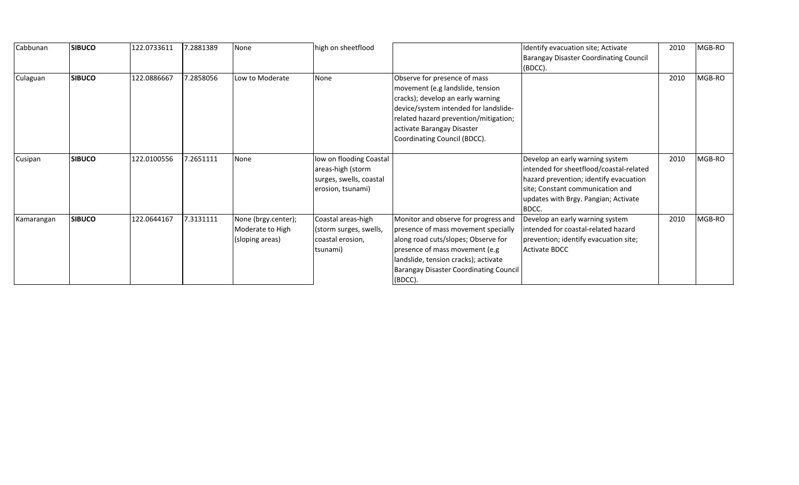| Cabbunan   | <b>SIBUCO</b> | 122.0733611 | 7.2881389 | None                                                       | high on sheetflood                                                                           |                                                                                                                                                                                                                                                          | Identify evacuation site; Activate<br><b>Barangay Disaster Coordinating Council</b><br>(BDCC).                                                                                                            | 2010 | MGB-RO |
|------------|---------------|-------------|-----------|------------------------------------------------------------|----------------------------------------------------------------------------------------------|----------------------------------------------------------------------------------------------------------------------------------------------------------------------------------------------------------------------------------------------------------|-----------------------------------------------------------------------------------------------------------------------------------------------------------------------------------------------------------|------|--------|
| Culaguan   | <b>SIBUCO</b> | 122.0886667 | 7.2858056 | Low to Moderate                                            | None                                                                                         | Observe for presence of mass<br>movement (e.g landslide, tension<br>cracks); develop an early warning<br>device/system intended for landslide-<br>related hazard prevention/mitigation;<br>activate Barangay Disaster<br>Coordinating Council (BDCC).    |                                                                                                                                                                                                           | 2010 | MGB-RO |
| Cusipan    | <b>SIBUCO</b> | 122.0100556 | 7.2651111 | None                                                       | low on flooding Coastal<br>areas-high (storm<br>surges, swells, coastal<br>erosion, tsunami) |                                                                                                                                                                                                                                                          | Develop an early warning system<br>intended for sheetflood/coastal-related<br>hazard prevention; identify evacuation<br>site; Constant communication and<br>updates with Brgy. Pangian; Activate<br>BDCC. | 2010 | MGB-RO |
| Kamarangan | <b>SIBUCO</b> | 122.0644167 | 7.3131111 | None (brgy.center);<br>Moderate to High<br>(sloping areas) | Coastal areas-high<br>(storm surges, swells,<br>coastal erosion,<br>tsunami)                 | Monitor and observe for progress and<br>presence of mass movement specially<br>along road cuts/slopes; Observe for<br>presence of mass movement (e.g<br>landslide, tension cracks); activate<br><b>Barangay Disaster Coordinating Council</b><br>(BDCC). | Develop an early warning system<br>intended for coastal-related hazard<br>prevention; identify evacuation site;<br>Activate BDCC                                                                          | 2010 | MGB-RO |